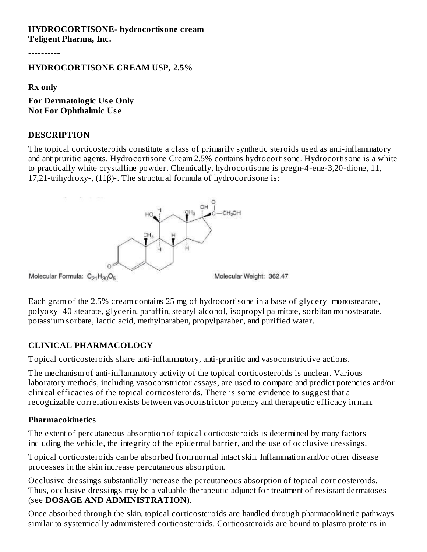#### **HYDROCORTISONE- hydrocortisone cream Teligent Pharma, Inc.**

----------

#### **HYDROCORTISONE CREAM USP, 2.5%**

**Rx only**

**For Dermatologic Us e Only Not For Ophthalmic Us e**

#### **DESCRIPTION**

The topical corticosteroids constitute a class of primarily synthetic steroids used as anti-inflammatory and antipruritic agents. Hydrocortisone Cream 2.5% contains hydrocortisone. Hydrocortisone is a white to practically white crystalline powder. Chemically, hydrocortisone is pregn-4-ene-3,20-dione, 11, 17,21-trihydroxy-, (11β)-. The structural formula of hydrocortisone is:



Each gram of the 2.5% cream contains 25 mg of hydrocortisone in a base of glyceryl monostearate, polyoxyl 40 stearate, glycerin, paraffin, stearyl alcohol, isopropyl palmitate, sorbitan monostearate, potassium sorbate, lactic acid, methylparaben, propylparaben, and purified water.

## **CLINICAL PHARMACOLOGY**

Topical corticosteroids share anti-inflammatory, anti-pruritic and vasoconstrictive actions.

The mechanism of anti-inflammatory activity of the topical corticosteroids is unclear. Various laboratory methods, including vasoconstrictor assays, are used to compare and predict potencies and/or clinical efficacies of the topical corticosteroids. There is some evidence to suggest that a recognizable correlation exists between vasoconstrictor potency and therapeutic efficacy in man.

## **Pharmacokinetics**

The extent of percutaneous absorption of topical corticosteroids is determined by many factors including the vehicle, the integrity of the epidermal barrier, and the use of occlusive dressings.

Topical corticosteroids can be absorbed from normal intact skin. Inflammation and/or other disease processes in the skin increase percutaneous absorption.

Occlusive dressings substantially increase the percutaneous absorption of topical corticosteroids. Thus, occlusive dressings may be a valuable therapeutic adjunct for treatment of resistant dermatoses (see **DOSAGE AND ADMINISTRATION**).

Once absorbed through the skin, topical corticosteroids are handled through pharmacokinetic pathways similar to systemically administered corticosteroids. Corticosteroids are bound to plasma proteins in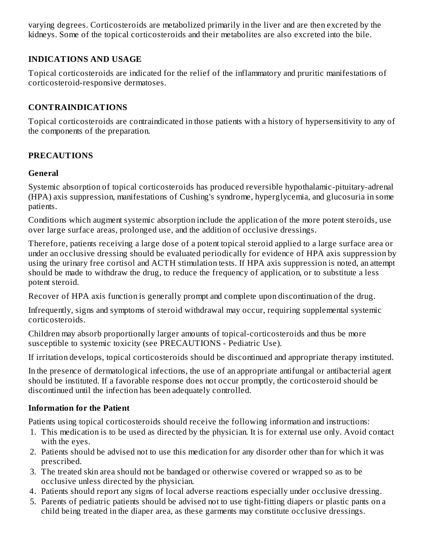varying degrees. Corticosteroids are metabolized primarily in the liver and are then excreted by the kidneys. Some of the topical corticosteroids and their metabolites are also excreted into the bile.

# **INDICATIONS AND USAGE**

Topical corticosteroids are indicated for the relief of the inflammatory and pruritic manifestations of corticosteroid-responsive dermatoses.

# **CONTRAINDICATIONS**

Topical corticosteroids are contraindicated in those patients with a history of hypersensitivity to any of the components of the preparation.

## **PRECAUTIONS**

## **General**

Systemic absorption of topical corticosteroids has produced reversible hypothalamic-pituitary-adrenal (HPA) axis suppression, manifestations of Cushing's syndrome, hyperglycemia, and glucosuria in some patients.

Conditions which augment systemic absorption include the application of the more potent steroids, use over large surface areas, prolonged use, and the addition of occlusive dressings.

Therefore, patients receiving a large dose of a potent topical steroid applied to a large surface area or under an occlusive dressing should be evaluated periodically for evidence of HPA axis suppression by using the urinary free cortisol and ACTH stimulation tests. If HPA axis suppression is noted, an attempt should be made to withdraw the drug, to reduce the frequency of application, or to substitute a less potent steroid.

Recover of HPA axis function is generally prompt and complete upon discontinuation of the drug.

Infrequently, signs and symptoms of steroid withdrawal may occur, requiring supplemental systemic corticosteroids.

Children may absorb proportionally larger amounts of topical-corticosteroids and thus be more susceptible to systemic toxicity (see PRECAUTIONS - Pediatric Use).

If irritation develops, topical corticosteroids should be discontinued and appropriate therapy instituted.

In the presence of dermatological infections, the use of an appropriate antifungal or antibacterial agent should be instituted. If a favorable response does not occur promptly, the corticosteroid should be discontinued until the infection has been adequately controlled.

## **Information for the Patient**

Patients using topical corticosteroids should receive the following information and instructions:

- 1. This medication is to be used as directed by the physician. It is for external use only. Avoid contact with the eyes.
- 2. Patients should be advised not to use this medication for any disorder other than for which it was prescribed.
- 3. The treated skin area should not be bandaged or otherwise covered or wrapped so as to be occlusive unless directed by the physician.
- 4. Patients should report any signs of local adverse reactions especially under occlusive dressing.
- 5. Parents of pediatric patients should be advised not to use tight-fitting diapers or plastic pants on a child being treated in the diaper area, as these garments may constitute occlusive dressings.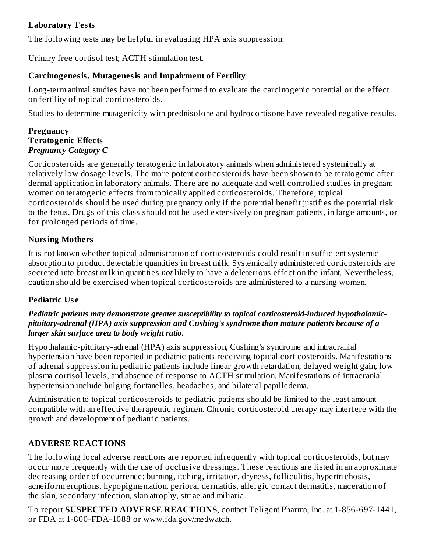# **Laboratory Tests**

The following tests may be helpful in evaluating HPA axis suppression:

Urinary free cortisol test; ACTH stimulation test.

# **Carcinogenesis, Mutagenesis and Impairment of Fertility**

Long-term animal studies have not been performed to evaluate the carcinogenic potential or the effect on fertility of topical corticosteroids.

Studies to determine mutagenicity with prednisolone and hydrocortisone have revealed negative results.

#### **Pregnancy Teratogenic Effects** *Pregnancy Category C*

Corticosteroids are generally teratogenic in laboratory animals when administered systemically at relatively low dosage levels. The more potent corticosteroids have been shown to be teratogenic after dermal application in laboratory animals. There are no adequate and well controlled studies in pregnant women on teratogenic effects from topically applied corticosteroids. Therefore, topical corticosteroids should be used during pregnancy only if the potential benefit justifies the potential risk to the fetus. Drugs of this class should not be used extensively on pregnant patients, in large amounts, or for prolonged periods of time.

# **Nursing Mothers**

It is not known whether topical administration of corticosteroids could result in sufficient systemic absorption to product detectable quantities in breast milk. Systemically administered corticosteroids are secreted into breast milk in quantities *not* likely to have a deleterious effect on the infant. Nevertheless, caution should be exercised when topical corticosteroids are administered to a nursing women.

# **Pediatric Us e**

### *Pediatric patients may demonstrate greater susceptibility to topical corticosteroid-induced hypothalamicpituitary-adrenal (HPA) axis suppression and Cushing's syndrome than mature patients because of a larger skin surface area to body weight ratio.*

Hypothalamic-pituitary-adrenal (HPA) axis suppression, Cushing's syndrome and intracranial hypertension have been reported in pediatric patients receiving topical corticosteroids. Manifestations of adrenal suppression in pediatric patients include linear growth retardation, delayed weight gain, low plasma cortisol levels, and absence of response to ACTH stimulation. Manifestations of intracranial hypertension include bulging fontanelles, headaches, and bilateral papilledema.

Administration to topical corticosteroids to pediatric patients should be limited to the least amount compatible with an effective therapeutic regimen. Chronic corticosteroid therapy may interfere with the growth and development of pediatric patients.

# **ADVERSE REACTIONS**

The following local adverse reactions are reported infrequently with topical corticosteroids, but may occur more frequently with the use of occlusive dressings. These reactions are listed in an approximate decreasing order of occurrence: burning, itching, irritation, dryness, folliculitis, hypertrichosis, acneiform eruptions, hypopigmentation, perioral dermatitis, allergic contact dermatitis, maceration of the skin, secondary infection, skin atrophy, striae and miliaria.

To report **SUSPECTED ADVERSE REACTIONS**, contact Teligent Pharma, Inc. at 1-856-697-1441, or FDA at 1-800-FDA-1088 or www.fda.gov/medwatch.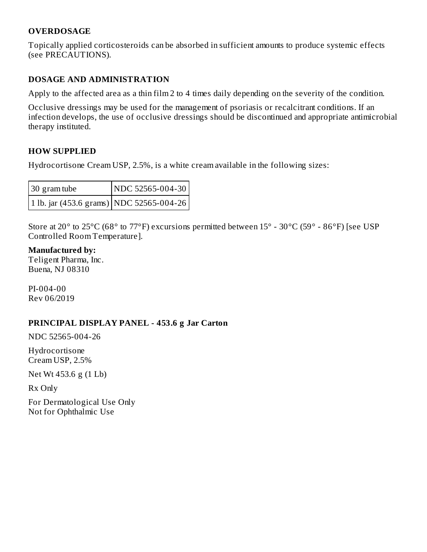# **OVERDOSAGE**

Topically applied corticosteroids can be absorbed in sufficient amounts to produce systemic effects (see PRECAUTIONS).

# **DOSAGE AND ADMINISTRATION**

Apply to the affected area as a thin film 2 to 4 times daily depending on the severity of the condition.

Occlusive dressings may be used for the management of psoriasis or recalcitrant conditions. If an infection develops, the use of occlusive dressings should be discontinued and appropriate antimicrobial therapy instituted.

# **HOW SUPPLIED**

Hydrocortisone Cream USP, 2.5%, is a white cream available in the following sizes:

| 30 gram tube                               | NDC 52565-004-30 |
|--------------------------------------------|------------------|
| 1 lb. jar (453.6 grams)   NDC 52565-004-26 |                  |

Store at 20° to 25°C (68° to 77°F) excursions permitted between 15° - 30°C (59° - 86°F) [see USP Controlled Room Temperature].

#### **Manufactured by:**

Teligent Pharma, Inc. Buena, NJ 08310

PI-004-00 Rev 06/2019

# **PRINCIPAL DISPLAY PANEL - 453.6 g Jar Carton**

NDC 52565-004-26

Hydrocortisone Cream USP, 2.5%

Net Wt 453.6 g (1 Lb)

Rx Only

For Dermatological Use Only Not for Ophthalmic Use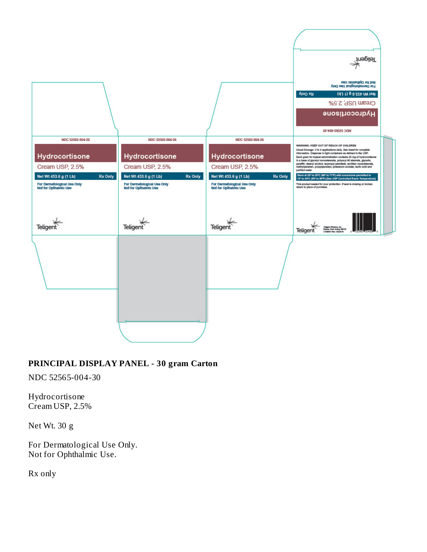

#### **PRINCIPAL DISPLAY PANEL - 30 gram Carton**

NDC 52565-004-30

Hydrocortisone Cream USP, 2.5%

Net Wt. 30 g

For Dermatological Use Only. Not for Ophthalmic Use.

Rx only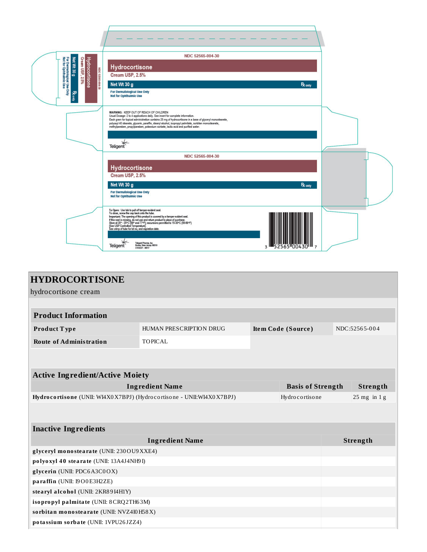|                                                            | NDC 52565-004-30                                                                                                                                                                                                                                                                                        |  |
|------------------------------------------------------------|---------------------------------------------------------------------------------------------------------------------------------------------------------------------------------------------------------------------------------------------------------------------------------------------------------|--|
| Net Wt 30 g                                                | Hydrocortisone                                                                                                                                                                                                                                                                                          |  |
| Hydrocortisone<br><b>Cream USP, 25%</b><br>NDC 52565-004-3 | Cream USP, 2.5%                                                                                                                                                                                                                                                                                         |  |
| For Dermatological Use Only<br>Not for Ophthalmic Use      | Net Wt 30 g<br>R <sub>x</sub> only                                                                                                                                                                                                                                                                      |  |
| Romy                                                       | For Dermatological Use Only<br><b>Not for Ophthalmic Use</b>                                                                                                                                                                                                                                            |  |
|                                                            |                                                                                                                                                                                                                                                                                                         |  |
|                                                            | WARNING: KEEP OUT OF REACH OF CHILDREN<br>Usual Dosage: 2 to 4 applications daily. See insert for complete information.                                                                                                                                                                                 |  |
|                                                            | Each gram for topical administration contains 25 mg of hydrocortisone in a base of glyceryl monostearate,<br>polyoxyl 40 stearate, glycerin, paraffin, stearyl alcohol, isopropyl palmitate, sorbitan monostearate,<br>methylparaben, propylparaben, potassium sorbate, lactic acid and purified water. |  |
|                                                            |                                                                                                                                                                                                                                                                                                         |  |
|                                                            | Teligent                                                                                                                                                                                                                                                                                                |  |
|                                                            |                                                                                                                                                                                                                                                                                                         |  |
|                                                            | NDC 52565-004-30                                                                                                                                                                                                                                                                                        |  |
|                                                            | Hydrocortisone                                                                                                                                                                                                                                                                                          |  |
|                                                            | Cream USP, 2.5%                                                                                                                                                                                                                                                                                         |  |
|                                                            | Net Wt 30 g<br>R only                                                                                                                                                                                                                                                                                   |  |
|                                                            | For Dermatological Use Only<br><b>Not for Ophthalmic Use</b>                                                                                                                                                                                                                                            |  |
|                                                            |                                                                                                                                                                                                                                                                                                         |  |
|                                                            | To Open: Use tab to pull off tamper-evident seal.<br>To close, screw the cap back onto the tube.<br>Important: The opening of this product is covered by a tamper evident seal.                                                                                                                         |  |
|                                                            | measures. The special contract the end relationship of the set of the set of the set of the set of the set of the set of the set of the set of the set of the set of the set of the set of the set of the set of the set of th                                                                          |  |
|                                                            |                                                                                                                                                                                                                                                                                                         |  |
|                                                            | Teligent Pharma, Inc.<br>Buena, New Jersey 08310<br><b>Teligent</b><br>52565"00430                                                                                                                                                                                                                      |  |

| <b>HYDROCORTISONE</b><br>hydrocortisone cream                                          |                         |  |                          |          |                |
|----------------------------------------------------------------------------------------|-------------------------|--|--------------------------|----------|----------------|
|                                                                                        |                         |  |                          |          |                |
| <b>Product Information</b>                                                             |                         |  |                          |          |                |
| Product Type                                                                           | HUMAN PRESCRIPTION DRUG |  | Item Code (Source)       |          | NDC:52565-004  |
| <b>Route of Administration</b>                                                         | <b>TOPICAL</b>          |  |                          |          |                |
|                                                                                        |                         |  |                          |          |                |
|                                                                                        |                         |  |                          |          |                |
| <b>Active Ingredient/Active Moiety</b>                                                 |                         |  |                          |          |                |
| <b>Ingredient Name</b>                                                                 |                         |  | <b>Basis of Strength</b> |          | Strength       |
| Hydrocortisone (UNII: WI4X0X7BPJ) (Hydrocortisone - UNII:WI4X0X7BPJ)<br>Hydrocortisone |                         |  |                          |          | $25$ mg in 1 g |
|                                                                                        |                         |  |                          |          |                |
| <b>Inactive Ingredients</b>                                                            |                         |  |                          |          |                |
| <b>Ingredient Name</b>                                                                 |                         |  |                          | Strength |                |
| glyceryl monostearate (UNII: 230OU9XXE4)                                               |                         |  |                          |          |                |
| polyoxyl 40 stearate (UNII: 13A4J4NH9I)                                                |                         |  |                          |          |                |
| glycerin (UNII: PDC6A3C0OX)                                                            |                         |  |                          |          |                |
| paraffin (UNII: 1900E3H2ZE)                                                            |                         |  |                          |          |                |
| stearyl alcohol (UNII: 2KR89I4H1Y)                                                     |                         |  |                          |          |                |
| isopropyl palmitate (UNII: 8CRQ2TH63M)                                                 |                         |  |                          |          |                |
| sorbitan monostearate (UNII: NVZ410H58X)                                               |                         |  |                          |          |                |
| potassium sorbate (UNII: 1VPU26JZZ4)                                                   |                         |  |                          |          |                |